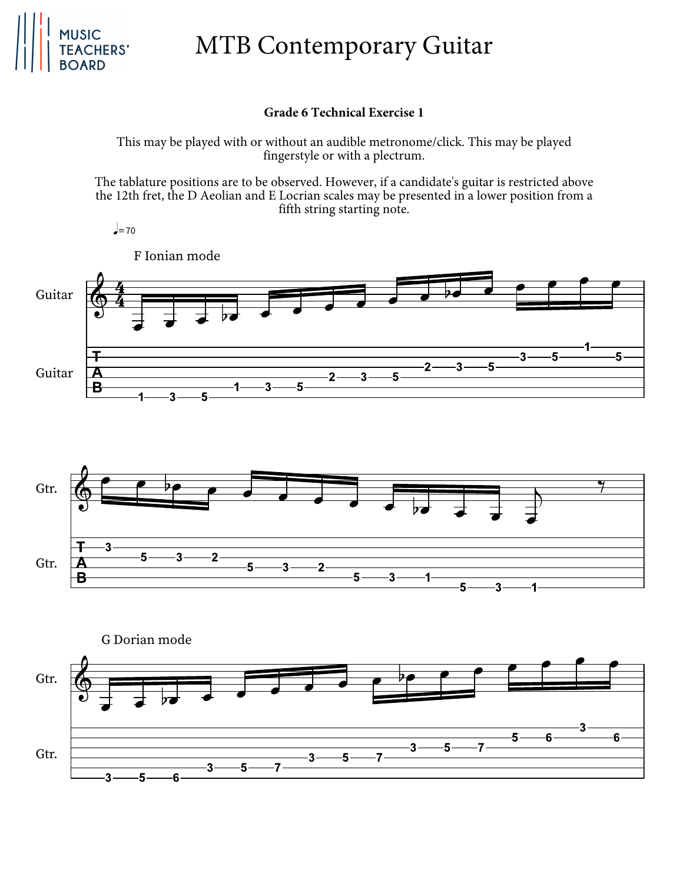

# MTB Contemporary Guitar

#### **Grade 6 Technical Exercise 1**

This may be played with or without an audible metronome/click. This may be played fingerstyle or with a plectrum.

The tablature positions are to be observed. However, if a candidate's guitar is restricted above the 12th fret, the D Aeolian and E Locrian scales may be presented in a lower position from a fifth string starting note.

 $J=70$ 





G Dorian modeGtr. 3 6 5 6  $\overline{7}$ 3 5 Gtr. 3 5  $\overline{7}$ 5  $\overline{7}$  $\overline{3}$ 3 5 6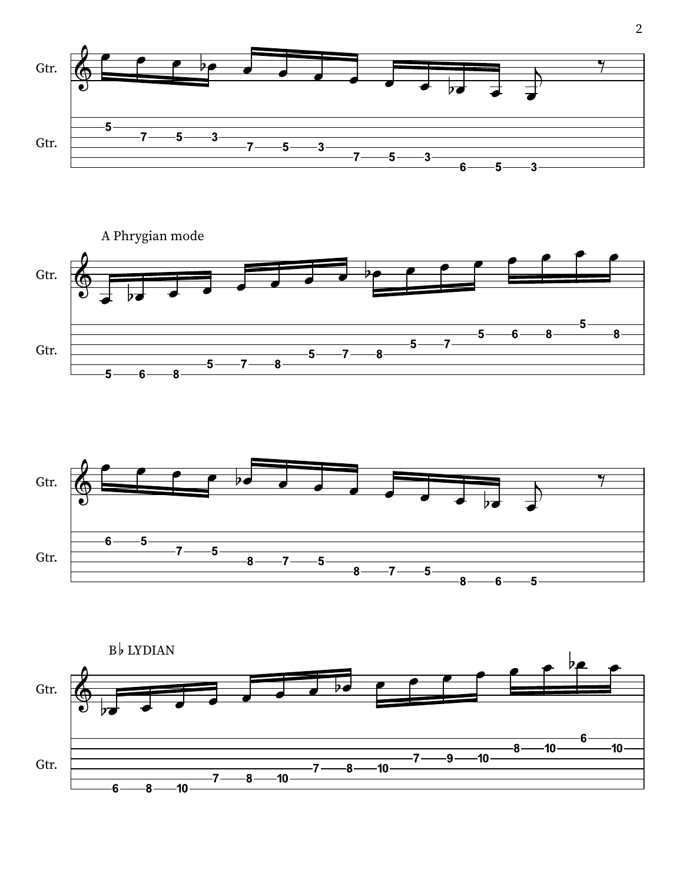





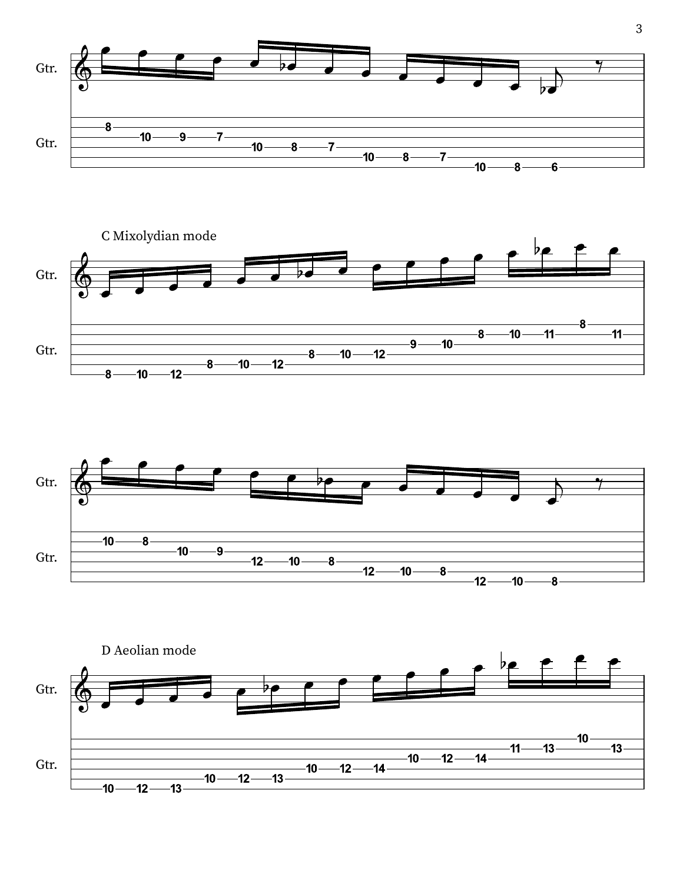





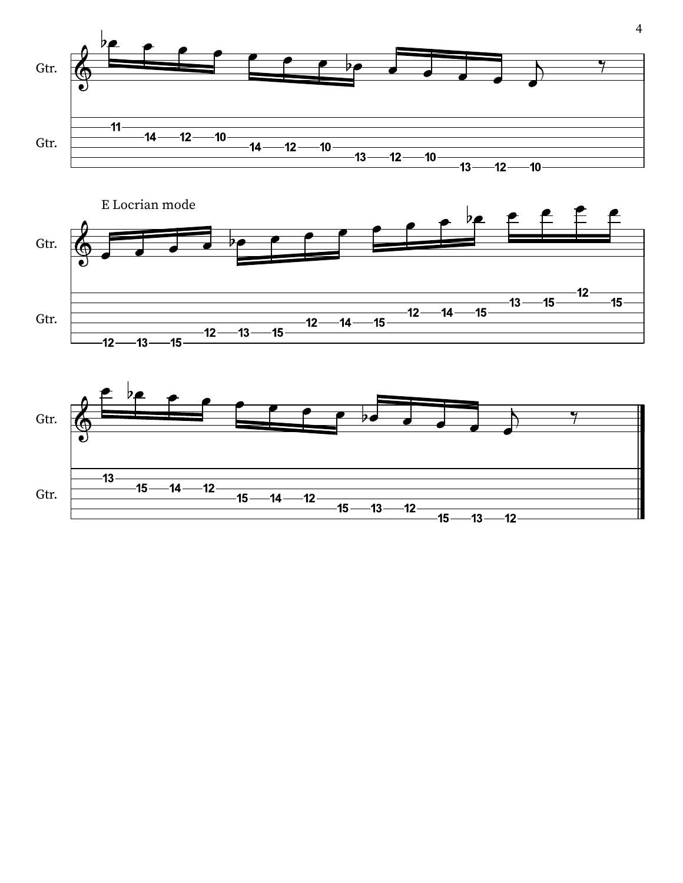



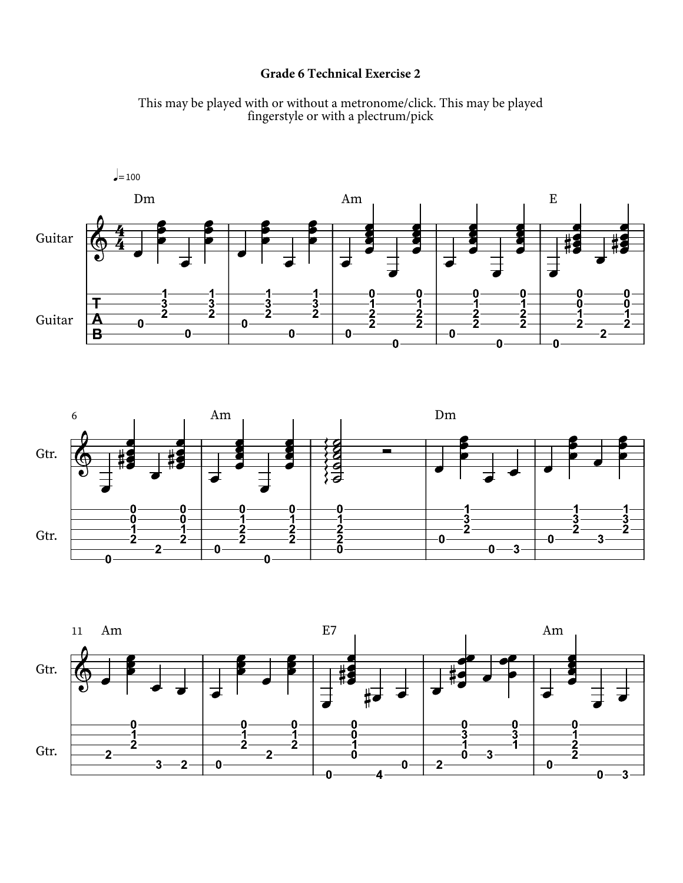### **Grade 6 Technical Exercise 2**







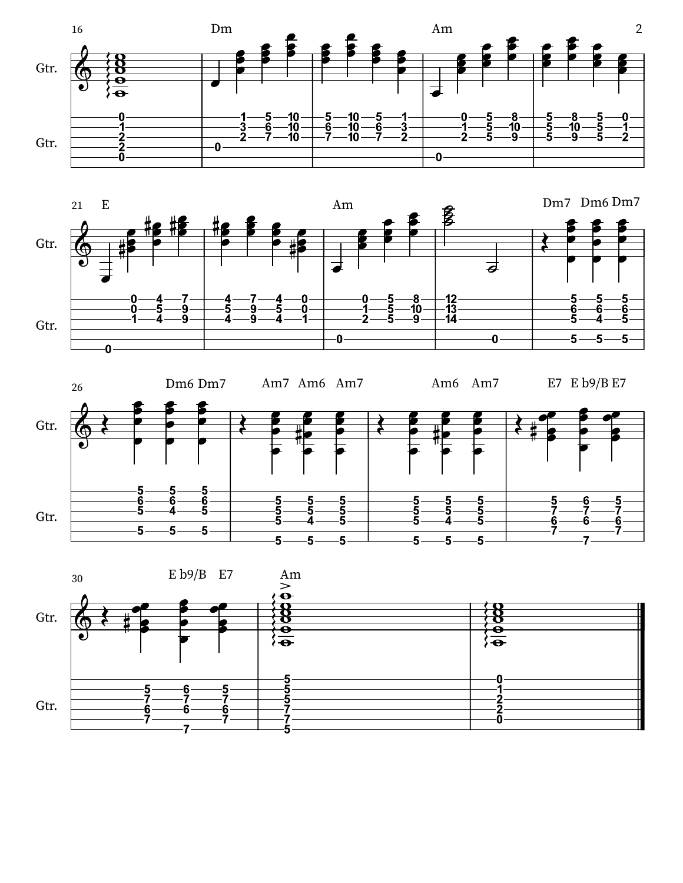





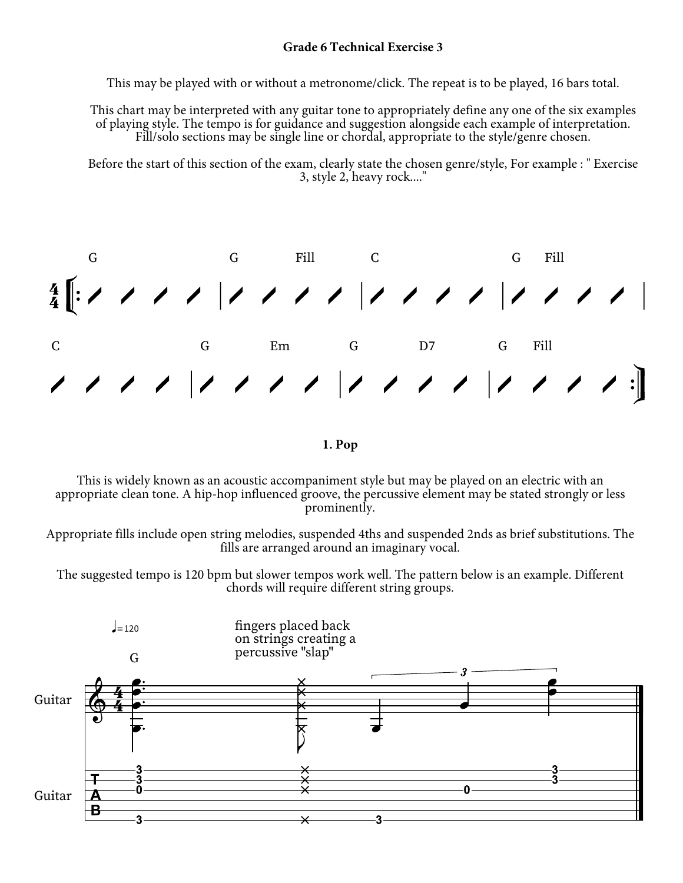This may be played with or without a metronome/click. The repeat is to be played, 16 bars total.

This chart may be interpreted with any guitar tone to appropriately define any one of the six examples of playing style. The tempo is for guidance and suggestion alongside each example of interpretation. Fill/solo sections may be single line or chordal, appropriate to the style/genre chosen.

Before the start of this section of the exam, clearly state the chosen genre/style, For example : " Exercise 3, style 2, heavy rock...."



**1. Pop**

This is widely known as an acoustic accompaniment style but may be played on an electric with an appropriate clean tone. A hip-hop influenced groove, the percussive element may be stated strongly or less prominently.

Appropriate fills include open string melodies, suspended 4ths and suspended 2nds as brief substitutions. The fills are arranged around an imaginary vocal.

The suggested tempo is 120 bpm but slower tempos work well. The pattern below is an example. Different chords will require different string groups.

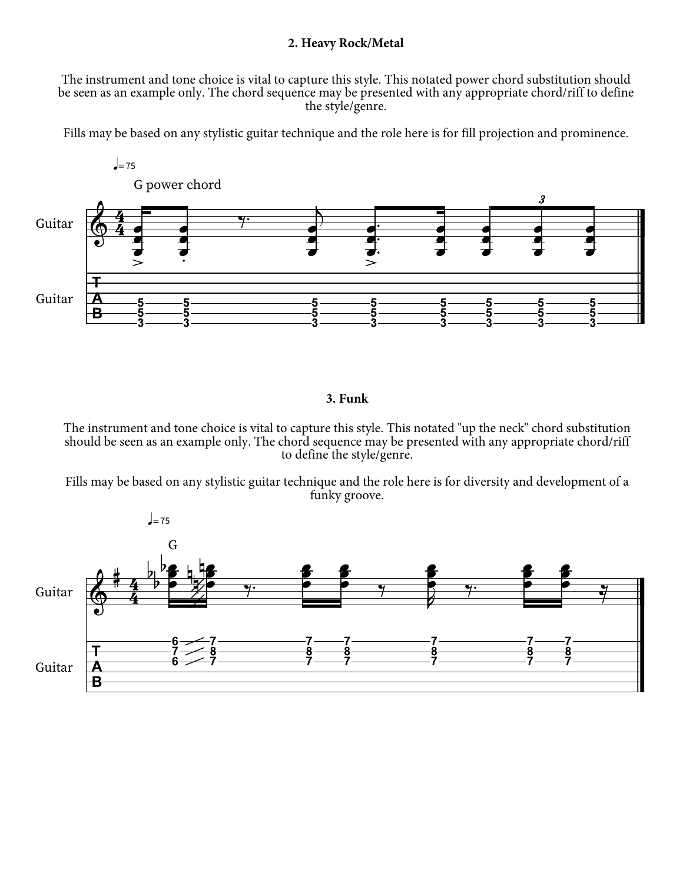#### **2. Heavy Rock/Metal**

The instrument and tone choice is vital to capture this style. This notated power chord substitution should be seen as an example only. The chord sequence may be presented with any appropriate chord/riff to define the style/genre.

Fills may be based on any stylistic guitar technique and the role here is for fill projection and prominence.



### **3. Funk**

The instrument and tone choice is vital to capture this style. This notated "up the neck" chord substitution should be seen as an example only. The chord sequence may be presented with any appropriate chord/riff to define the style/genre.

Fills may be based on any stylistic guitar technique and the role here is for diversity and development of a funky groove.

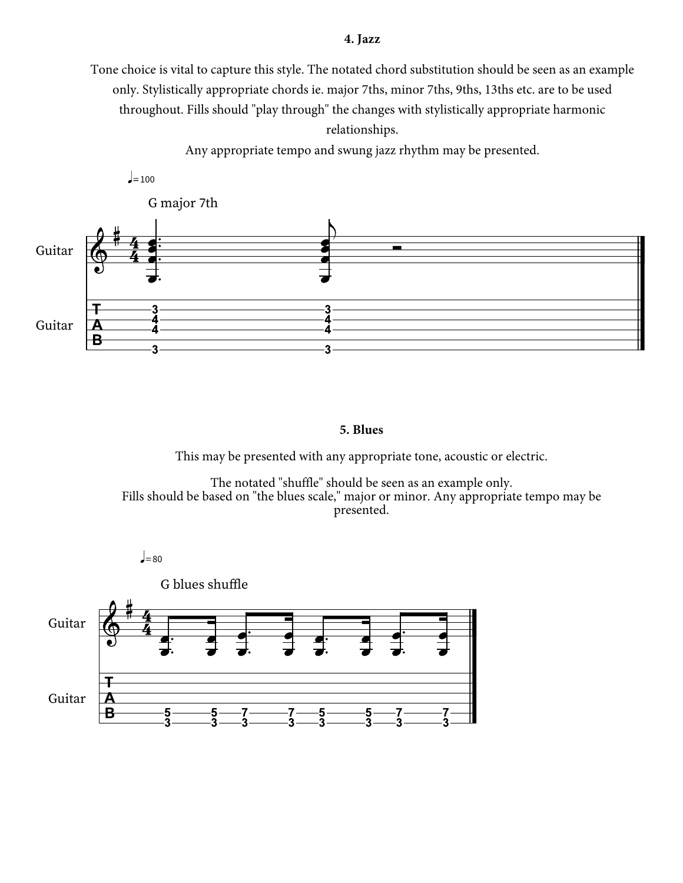#### **4. Jazz**

Tone choice is vital to capture this style. The notated chord substitution should be seen as an example only. Stylistically appropriate chords ie. major 7ths, minor 7ths, 9ths, 13ths etc. are to be used throughout. Fills should "play through" the changes with stylistically appropriate harmonic

relationships.

Any appropriate tempo and swung jazz rhythm may be presented.



#### **5. Blues**

This may be presented with any appropriate tone, acoustic or electric.

The notated "shuffle" should be seen as an example only. Fills should be based on "the blues scale," major or minor. Any appropriate tempo may be presented.

 $=80$